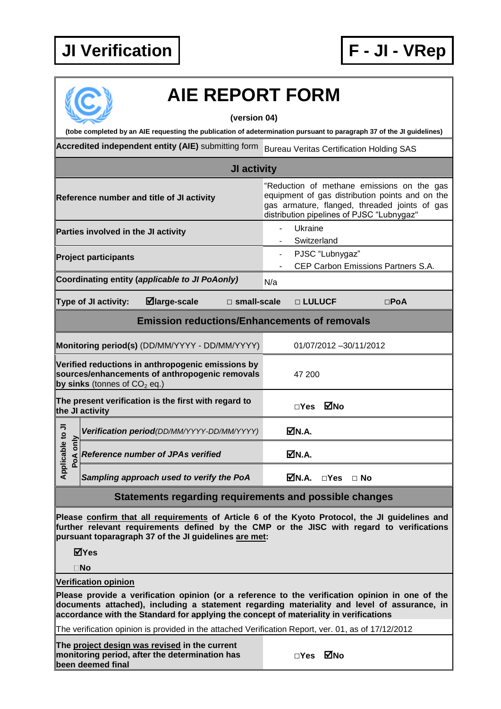## **JI Verification F - JI - VRep**



## **AIE REPORT FORM**

**(version 04)**

**(tobe completed by an AIE requesting the publication of adetermination pursuant to paragraph 37 of the JI guidelines) Accredited independent entity (AIE)** submitting form Bureau Veritas Certification Holding SAS **JI activity** "Reduction of methane emissions on the gas equipment of gas distribution points and on the **Reference number and title of JI activity** gas armature, flanged, threaded joints of gas distribution pipelines of PJSC "Lubnygaz" **Parties involved in the JI activity CONSCRIPTION ATTACK CONSTRAINER ATTACK CONSTRAINER ATTACK CONSTRAINER ATT** Switzerland **Project participants Project participants Project PJSC** "Lubnygaz" CEP Carbon Emissions Partners S.A. Coordinating entity (*applicable to JI PoAonly)* N/a **Type of JI activity: large-scale □ small-scale □ LULUCF □PoA Emission reductions/Enhancements of removals Monitoring period(s)** (DD/MM/YYYY - DD/MM/YYYY) 01/07/2012 -30/11/2012 **Verified reductions in anthropogenic emissions by sources/enhancements of anthropogenic removals**  47 200 **by sinks** (tonnes of  $CO<sub>2</sub>$  eq.) **The present verification is the first with regard to the JI activity □Yes No Applicable to JI Positivation period***(DD/MM/YYYY-DD/MM/YYYY)* **N.A.**<br> **Pode** *Reference number of JPAs verified* **N.A.**  $\mathtt{S}$ Applicable t **Reference number of JPAs verified** *Sampling approach used to verify the PoA* **N.A. □Yes □ No Statements regarding requirements and possible changes Please confirm that all requirements of Article 6 of the Kyoto Protocol, the JI guidelines and further relevant requirements defined by the CMP or the JISC with regard to verifications pursuant toparagraph 37 of the JI guidelines are met: Yes No Verification opinion Please provide a verification opinion (or a reference to the verification opinion in one of the documents attached), including a statement regarding materiality and level of assurance, in accordance with the Standard for applying the concept of materiality in verifications** The verification opinion is provided in the attached Verification Report, ver. 01, as of 17/12/2012 **The project design was revised in the current monitoring period, after the determination has □Yes No been deemed final**